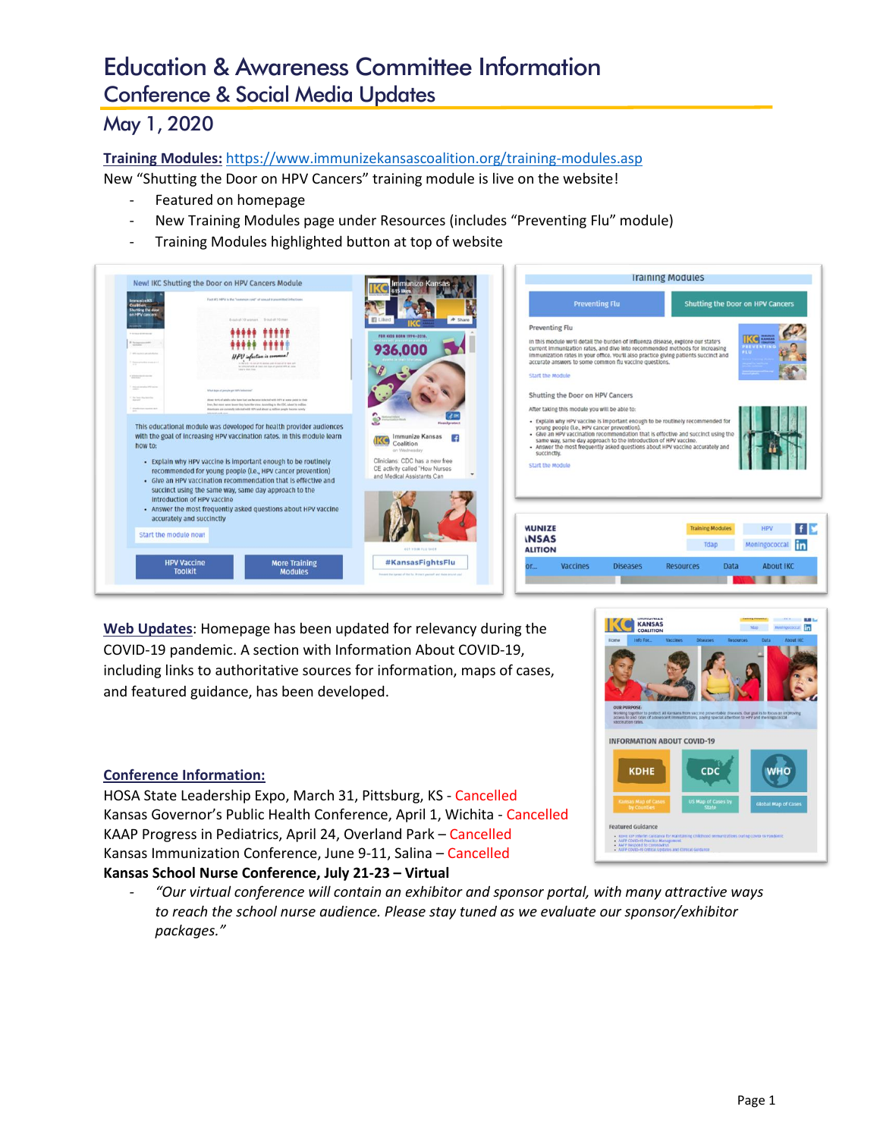# Education & Awareness Committee Information Conference & Social Media Updates

# May 1, 2020

**Training Modules:** <https://www.immunizekansascoalition.org/training-modules.asp>

New "Shutting the Door on HPV Cancers" training module is live on the website!

- Featured on homepage
- New Training Modules page under Resources (includes "Preventing Flu" module)
- Training Modules highlighted button at top of website



**Web Updates**: Homepage has been updated for relevancy during the COVID-19 pandemic. A section with Information About COVID-19, including links to authoritative sources for information, maps of cases, and featured guidance, has been developed.

#### **Conference Information:**

HOSA State Leadership Expo, March 31, Pittsburg, KS - Cancelled Kansas Governor's Public Health Conference, April 1, Wichita - Cancelled KAAP Progress in Pediatrics, April 24, Overland Park – Cancelled Kansas Immunization Conference, June 9-11, Salina – Cancelled **Kansas School Nurse Conference, July 21-23 – Virtual**

*- "Our virtual conference will contain an exhibitor and sponsor portal, with many attractive ways to reach the school nurse audience. Please stay tuned as we evaluate our sponsor/exhibitor packages."*

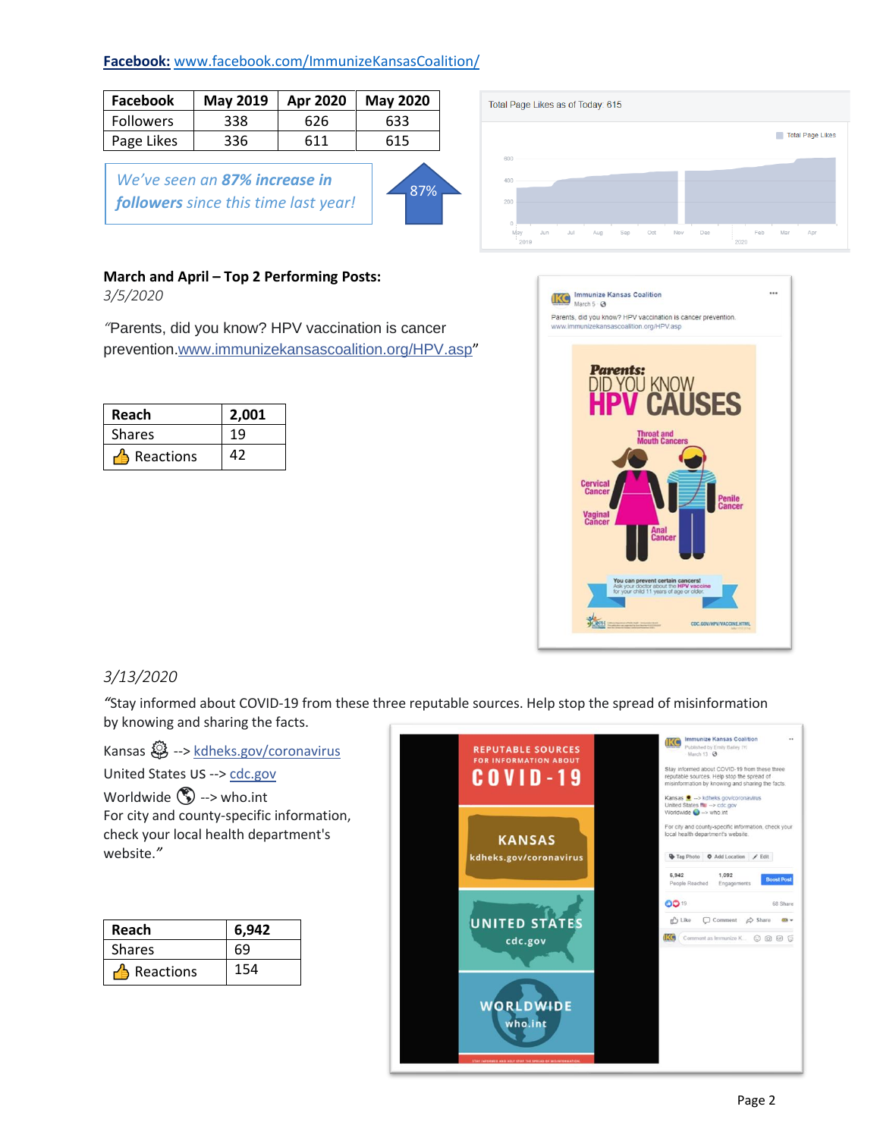| Facebook         |     | May 2019   Apr 2020 | <b>May 2020</b> |
|------------------|-----|---------------------|-----------------|
| <b>Followers</b> | 338 | 626                 | 633             |
| Page Likes       | 336 | 611                 | 615             |

*We've seen an 87% increase in followers since this time last year!*





### **March and April – Top 2 Performing Posts:**

*3/5/2020*

*"*Parents, did you know? HPV vaccination is cancer prevention[.www.immunizekansascoalition.org/HPV.asp](http://www.immunizekansascoalition.org/HPV.asp?fbclid=IwAR1PLJqYWmzazhDXSwiCMWLRVtsB3madLPXU5AiL75Zo3rya6nF2-KlYibs)"

| Reach         | 2.001 |  |
|---------------|-------|--|
| <b>Shares</b> | 19    |  |
| Reactions     |       |  |



## *3/13/2020*

*"*Stay informed about COVID-19 from these three reputable sources. Help stop the spread of misinformation by knowing and sharing the facts.

Kansas  $\bigcirc$  --> [kdheks.gov/coronavirus](http://kdheks.gov/coronavirus?fbclid=IwAR2sfwuV-upnHYrOR9Jdp1w57p6nNDLTkzEDlpUXb6c0_tdLDcSvb9AwY04)

United States US --> [cdc.gov](https://l.facebook.com/l.php?u=http%3A%2F%2Fcdc.gov%2F%3Ffbclid%3DIwAR0YY3yVMtU7VIShJwKK-mqObGO3KAzcCGBjBFzy2qHf8WALzK1q07Gpnj0&h=AT3UPavcFjL9Dmz7jicd5vM4Azcfy_Y8NFlmuGWnnNq1qG3oiloMaEaLx3lOQG9hmf1410uYG3FYy473XkTsIEFpNHfgZ4bRXfxHhkxfX--_P63U0j6y2jWgW3YVbfLo6EtD1w17r55EyQb9c-Hfk0FbSgxa19yO6vt_mk0wSw-sKDdCzPaUh7yx7H54j8X4Oe0YGnx6dk6NmWZjv2E3imkCHgmKcSaZFZfPBBgSuhLucE51IBKTqY9Y9Qq6y4Kce440K1x27s6RNGF76qVosA_S44TKm1bHeJCHIM5BMBOBiJ6-G3t4aiG0CwiZ_r37c-uIUmupv95sYSPFe2vgOALO4wxRrP4cMIjuOG0cZlfABS0lJi0HpZsV4P0dFrb5XGIVUE_vZCLZ7eVjke0yMeTvl61yf75ENUbVfh1D4p276D_xI1_JvWlQ4ieod4ZSLjY_JmUX_2uVa5NS_wfGo6KU1359l3OhdKb_favF6lJ8DvxKPxSMlv0QGby-B9WkVz40ksbSdvckT1zudrAwGBiGfF3NMViwKJpBuRgKGY3gUzs-VC8gZw_gYIKnt9RhZhPMFTgEDvESaYiAp52hx0OvtqA69P0lrpKrCOn5tYxFM3GGPiu-pF56--tIHqZ2mt2TPq_S)

Worldwide  $\binom{2}{3}$  --> who.int

For city and county-specific information, check your local health department's website.*"*

| Reach         | 6.942 |  |
|---------------|-------|--|
| <b>Shares</b> | 69    |  |
| Reactions     | 154   |  |